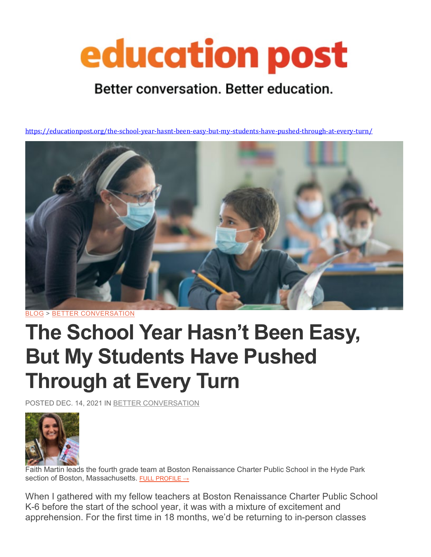# education post

### Better conversation. Better education.

<https://educationpost.org/the-school-year-hasnt-been-easy-but-my-students-have-pushed-through-at-every-turn/>



[BLOG](https://educationpost.org/conversation/blog/) > BETTER [CONVERSATION](https://educationpost.org/conversation/blog/better-conversation/)

## **The School Year Hasn't Been Easy, But My Students Have Pushed Through at Every Turn**

POSTED DEC. 14, 2021 IN BETTER [CONVERSATION](https://educationpost.org/conversation/blog/better-conversation/)



Faith Martin leads the fourth grade team at Boston Renaissance Charter Public School in the Hyde Park section of Boston, Massachusetts. FULL [PROFILE](https://educationpost.org/network/faith-martin/) →

When I gathered with my fellow teachers at Boston Renaissance Charter Public School K-6 before the start of the school year, it was with a mixture of excitement and apprehension. For the first time in 18 months, we'd be returning to in-person classes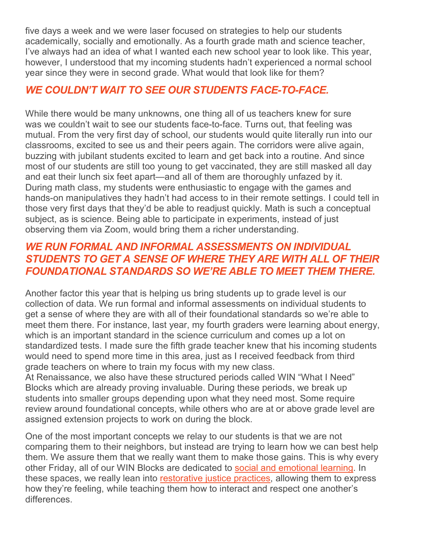five days a week and we were laser focused on strategies to help our students academically, socially and emotionally. As a fourth grade math and science teacher, I've always had an idea of what I wanted each new school year to look like. This year, however, I understood that my incoming students hadn't experienced a normal school year since they were in second grade. What would that look like for them?

#### *WE COULDN'T WAIT TO SEE OUR STUDENTS FACE-TO-FACE.*

While there would be many unknowns, one thing all of us teachers knew for sure was we couldn't wait to see our students face-to-face. Turns out, that feeling was mutual. From the very first day of school, our students would quite literally run into our classrooms, excited to see us and their peers again. The corridors were alive again, buzzing with jubilant students excited to learn and get back into a routine. And since most of our students are still too young to get vaccinated, they are still masked all day and eat their lunch six feet apart—and all of them are thoroughly unfazed by it. During math class, my students were enthusiastic to engage with the games and hands-on manipulatives they hadn't had access to in their remote settings. I could tell in those very first days that they'd be able to readjust quickly. Math is such a conceptual subject, as is science. Being able to participate in experiments, instead of just observing them via Zoom, would bring them a richer understanding.

#### *WE RUN FORMAL AND INFORMAL ASSESSMENTS ON INDIVIDUAL STUDENTS TO GET A SENSE OF WHERE THEY ARE WITH ALL OF THEIR FOUNDATIONAL STANDARDS SO WE'RE ABLE TO MEET THEM THERE.*

Another factor this year that is helping us bring students up to grade level is our collection of data. We run formal and informal assessments on individual students to get a sense of where they are with all of their foundational standards so we're able to meet them there. For instance, last year, my fourth graders were learning about energy, which is an important standard in the science curriculum and comes up a lot on standardized tests. I made sure the fifth grade teacher knew that his incoming students would need to spend more time in this area, just as I received feedback from third grade teachers on where to train my focus with my new class.

At Renaissance, we also have these structured periods called WIN "What I Need" Blocks which are already proving invaluable. During these periods, we break up students into smaller groups depending upon what they need most. Some require review around foundational concepts, while others who are at or above grade level are assigned extension projects to work on during the block.

One of the most important concepts we relay to our students is that we are not comparing them to their neighbors, but instead are trying to learn how we can best help them. We assure them that we really want them to make those gains. This is why every other Friday, all of our WIN Blocks are dedicated to social and [emotional](https://educationpost.org/tag/sel/) learning. In these spaces, we really lean into [restorative](https://educationpost.org/tag/restorative-justice/) justice practices, allowing them to express how they're feeling, while teaching them how to interact and respect one another's differences.